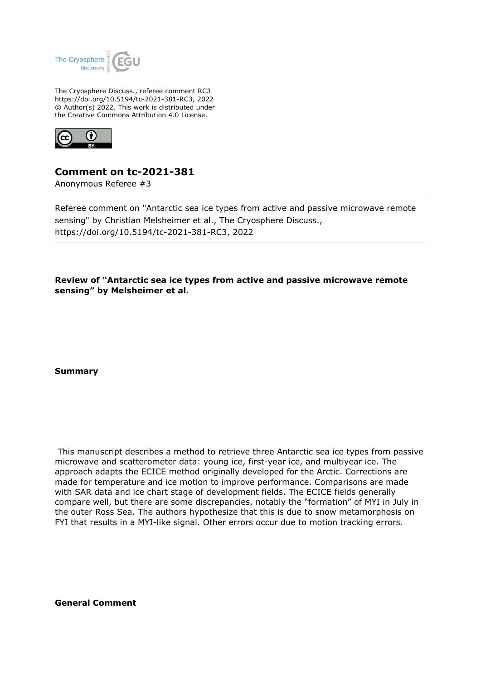

The Cryosphere Discuss., referee comment RC3 https://doi.org/10.5194/tc-2021-381-RC3, 2022 © Author(s) 2022. This work is distributed under the Creative Commons Attribution 4.0 License.



## **Comment on tc-2021-381**

Anonymous Referee #3

Referee comment on "Antarctic sea ice types from active and passive microwave remote sensing" by Christian Melsheimer et al., The Cryosphere Discuss., https://doi.org/10.5194/tc-2021-381-RC3, 2022

**Review of "Antarctic sea ice types from active and passive microwave remote sensing" by Melsheimer et al.**

**Summary**

 This manuscript describes a method to retrieve three Antarctic sea ice types from passive microwave and scatterometer data: young ice, first-year ice, and multiyear ice. The approach adapts the ECICE method originally developed for the Arctic. Corrections are made for temperature and ice motion to improve performance. Comparisons are made with SAR data and ice chart stage of development fields. The ECICE fields generally compare well, but there are some discrepancies, notably the "formation" of MYI in July in the outer Ross Sea. The authors hypothesize that this is due to snow metamorphosis on FYI that results in a MYI-like signal. Other errors occur due to motion tracking errors.

**General Comment**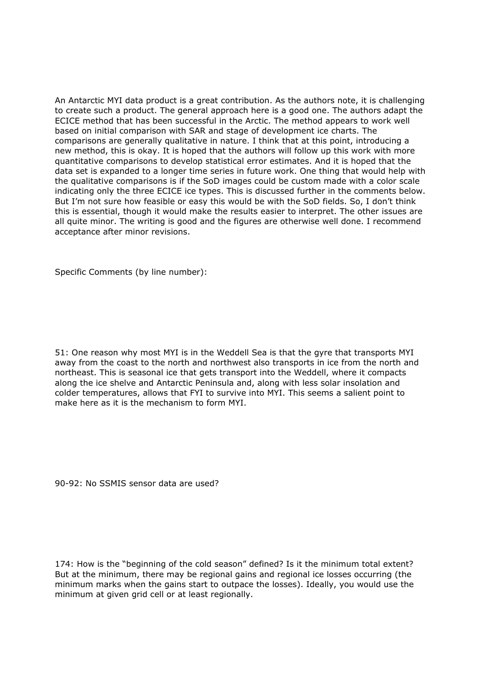An Antarctic MYI data product is a great contribution. As the authors note, it is challenging to create such a product. The general approach here is a good one. The authors adapt the ECICE method that has been successful in the Arctic. The method appears to work well based on initial comparison with SAR and stage of development ice charts. The comparisons are generally qualitative in nature. I think that at this point, introducing a new method, this is okay. It is hoped that the authors will follow up this work with more quantitative comparisons to develop statistical error estimates. And it is hoped that the data set is expanded to a longer time series in future work. One thing that would help with the qualitative comparisons is if the SoD images could be custom made with a color scale indicating only the three ECICE ice types. This is discussed further in the comments below. But I'm not sure how feasible or easy this would be with the SoD fields. So, I don't think this is essential, though it would make the results easier to interpret. The other issues are all quite minor. The writing is good and the figures are otherwise well done. I recommend acceptance after minor revisions.

Specific Comments (by line number):

51: One reason why most MYI is in the Weddell Sea is that the gyre that transports MYI away from the coast to the north and northwest also transports in ice from the north and northeast. This is seasonal ice that gets transport into the Weddell, where it compacts along the ice shelve and Antarctic Peninsula and, along with less solar insolation and colder temperatures, allows that FYI to survive into MYI. This seems a salient point to make here as it is the mechanism to form MYI.

90-92: No SSMIS sensor data are used?

174: How is the "beginning of the cold season" defined? Is it the minimum total extent? But at the minimum, there may be regional gains and regional ice losses occurring (the minimum marks when the gains start to outpace the losses). Ideally, you would use the minimum at given grid cell or at least regionally.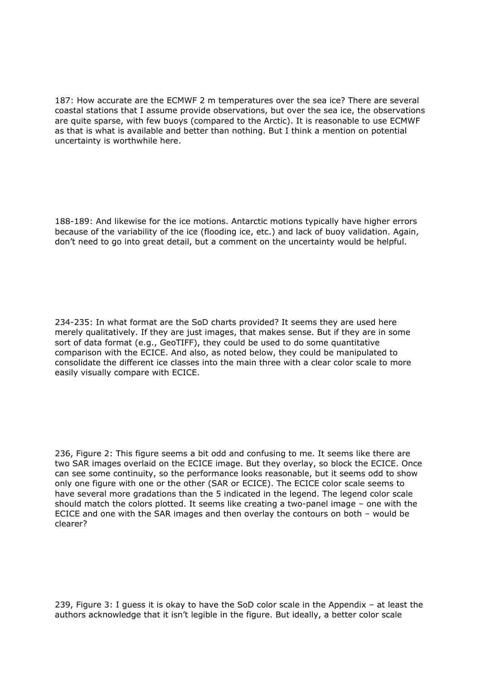187: How accurate are the ECMWF 2 m temperatures over the sea ice? There are several coastal stations that I assume provide observations, but over the sea ice, the observations are quite sparse, with few buoys (compared to the Arctic). It is reasonable to use ECMWF as that is what is available and better than nothing. But I think a mention on potential uncertainty is worthwhile here.

188-189: And likewise for the ice motions. Antarctic motions typically have higher errors because of the variability of the ice (flooding ice, etc.) and lack of buoy validation. Again, don't need to go into great detail, but a comment on the uncertainty would be helpful.

234-235: In what format are the SoD charts provided? It seems they are used here merely qualitatively. If they are just images, that makes sense. But if they are in some sort of data format (e.g., GeoTIFF), they could be used to do some quantitative comparison with the ECICE. And also, as noted below, they could be manipulated to consolidate the different ice classes into the main three with a clear color scale to more easily visually compare with ECICE.

236, Figure 2: This figure seems a bit odd and confusing to me. It seems like there are two SAR images overlaid on the ECICE image. But they overlay, so block the ECICE. Once can see some continuity, so the performance looks reasonable, but it seems odd to show only one figure with one or the other (SAR or ECICE). The ECICE color scale seems to have several more gradations than the 5 indicated in the legend. The legend color scale should match the colors plotted. It seems like creating a two-panel image – one with the ECICE and one with the SAR images and then overlay the contours on both – would be clearer?

239, Figure 3: I guess it is okay to have the SoD color scale in the Appendix – at least the authors acknowledge that it isn't legible in the figure. But ideally, a better color scale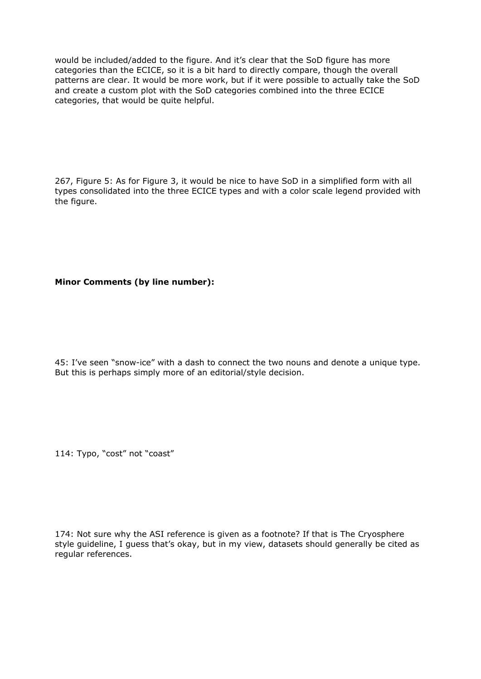would be included/added to the figure. And it's clear that the SoD figure has more categories than the ECICE, so it is a bit hard to directly compare, though the overall patterns are clear. It would be more work, but if it were possible to actually take the SoD and create a custom plot with the SoD categories combined into the three ECICE categories, that would be quite helpful.

267, Figure 5: As for Figure 3, it would be nice to have SoD in a simplified form with all types consolidated into the three ECICE types and with a color scale legend provided with the figure.

**Minor Comments (by line number):**

45: I've seen "snow-ice" with a dash to connect the two nouns and denote a unique type. But this is perhaps simply more of an editorial/style decision.

114: Typo, "cost" not "coast"

174: Not sure why the ASI reference is given as a footnote? If that is The Cryosphere style guideline, I guess that's okay, but in my view, datasets should generally be cited as regular references.